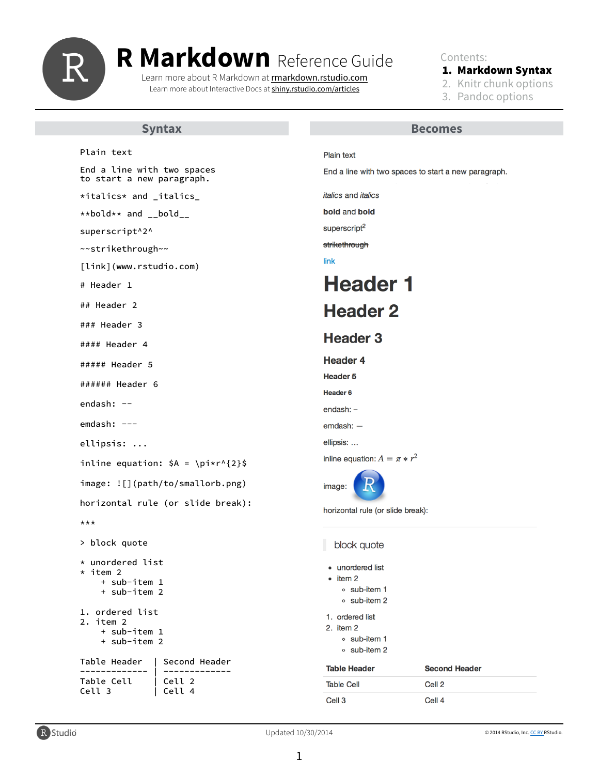Contents:

### 1. Markdown Syntax

- 2. Knitr chunk options
- 3. Pandoc options

#### Updated 10/30/2014

Plain text

End a line with two spaces to start a new paragraph.

\*italics\* and \_italics\_

\*\*bold\*\* and \_\_bold\_\_

superscript^2^

~~strikethrough~~

[link](www.rstudio.com)

# Header 1

## Header 2

### Plain text

End a line with two spaces to start a new paragraph.

*italics* and *italics* 

bold and bold

superscript<sup>2</sup>

strikethrough

link

# **Header 1**

## **Header 2**

### Header 3 #### Header 4 ##### Header 5 ###### Header 6 endash: - emdash: -- ellipsis: ... inline equation:  $$A = \pi*r^{2}$ image: ![](path/to/smallorb.png) horizontal rule (or slide break): \*\*\* > block quote \* unordered list  $\star$  item 2 + sub-item 1 + sub-item 2 1. ordered list 2. item 2 + sub-item 1

## **Header 3**

**Header 4 Header 5** Header 6  $endash:$  $emdash:$  ellipsis: ... inline equation:  $A = \pi * r^2$ image: horizontal rule (or slide break):

block quote

- unordered list
- $\bullet$  item 2
	- ∘ sub-item 1
	- o sub-item 2
- 1. ordered list
- 2. item 2

+ sub-item 2

#### ∘ sub-item 1

o sub-item 2

| Table Header | Second Header |
|--------------|---------------|
| Table Cell   | Cell 2        |
| Cell 3       | Cell 4        |

| <b>Table Header</b> | <b>Second Header</b> |
|---------------------|----------------------|
| <b>Table Cell</b>   | Cell 2               |
| Cell 3              | Cell 4               |



1

© 2014 RStudio, Inc. [CC BY R](https://creativecommons.org/licenses/by/4.0/)Studio.

## **Syntax Becomes**



# **R Markdown** Reference Guide

Learn more about R Markdown at [rmarkdown.rstudio.com](http://rmarkdown.rstudio.com) Learn more about Interactive Docs at [shiny.rstudio.com/articles](http://shiny.rstudio.com/articles)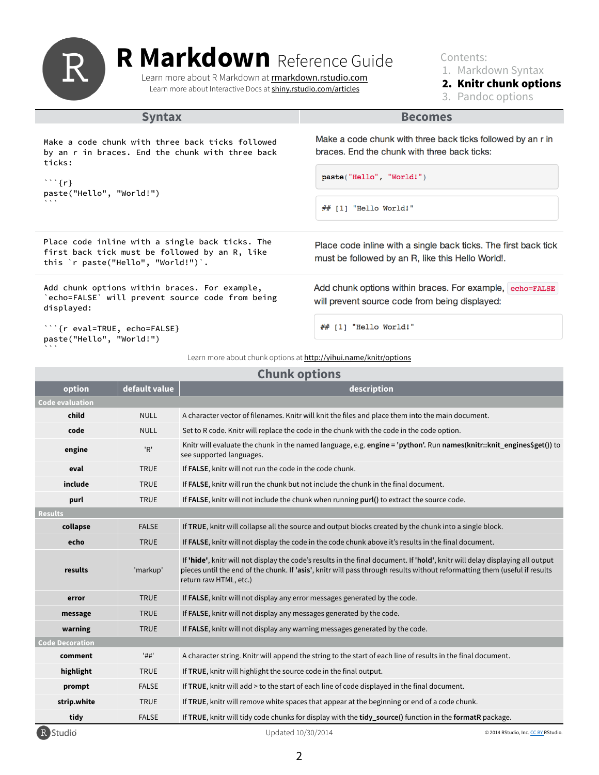Contents: 1. Markdown Syntax 2. Knitr chunk options

3. Pandoc options

2

### **Syntax Becomes**

```
```{r} 
paste("Hello", "World!") 
\mathbf{X}^{\top}
```
Make a code chunk with three back ticks followed by an r in braces. End the chunk with three back ticks:

```
paste("Hello", "World!")
```
## [1] "Hello World!"

Make a code chunk with three back ticks followed by an r in braces. End the chunk with three back ticks:

Place code inline with a single back ticks. The first back tick must be followed by an R, like this `r paste("Hello", "World!")`.

Add chunk options within braces. For example, `echo=FALSE` will prevent source code from being displayed:

Place code inline with a single back ticks. The first back tick must be followed by an R, like this Hello World!.

Add chunk options within braces. For example, echo=FALSE will prevent source code from being displayed:

#### ```{r eval=TRUE, echo=FALSE} paste("Hello", "World!")  $\mathbf{X}=\mathbf{X}+\mathbf{X}$

#### Learn more about chunk options at <http://yihui.name/knitr/options>

| <b>Chunk options</b>   |               |                                                                                                                                                                                                                                                                                       |  |  |
|------------------------|---------------|---------------------------------------------------------------------------------------------------------------------------------------------------------------------------------------------------------------------------------------------------------------------------------------|--|--|
| option                 | default value | description                                                                                                                                                                                                                                                                           |  |  |
| <b>Code evaluation</b> |               |                                                                                                                                                                                                                                                                                       |  |  |
| child                  | <b>NULL</b>   | A character vector of filenames. Knitr will knit the files and place them into the main document.                                                                                                                                                                                     |  |  |
| code                   | <b>NULL</b>   | Set to R code. Knitr will replace the code in the chunk with the code in the code option.                                                                                                                                                                                             |  |  |
| engine                 | 'R'           | Knitr will evaluate the chunk in the named language, e.g. engine = 'python'. Run names(knitr::knit_engines\$get()) to<br>see supported languages.                                                                                                                                     |  |  |
| eval                   | <b>TRUE</b>   | If FALSE, knitr will not run the code in the code chunk.                                                                                                                                                                                                                              |  |  |
| include                | <b>TRUE</b>   | If FALSE, knitr will run the chunk but not include the chunk in the final document.                                                                                                                                                                                                   |  |  |
| purl                   | <b>TRUE</b>   | If FALSE, knitr will not include the chunk when running purl() to extract the source code.                                                                                                                                                                                            |  |  |
| <b>Results</b>         |               |                                                                                                                                                                                                                                                                                       |  |  |
| collapse               | <b>FALSE</b>  | If TRUE, knitr will collapse all the source and output blocks created by the chunk into a single block.                                                                                                                                                                               |  |  |
| echo                   | <b>TRUE</b>   | If FALSE, knitr will not display the code in the code chunk above it's results in the final document.                                                                                                                                                                                 |  |  |
| results                | 'markup'      | If 'hide', knitr will not display the code's results in the final document. If 'hold', knitr will delay displaying all output<br>pieces until the end of the chunk. If 'asis', knitr will pass through results without reformatting them (useful if results<br>return raw HTML, etc.) |  |  |
| error                  | <b>TRUE</b>   | If FALSE, knitr will not display any error messages generated by the code.                                                                                                                                                                                                            |  |  |
| message                | <b>TRUE</b>   | If FALSE, knitr will not display any messages generated by the code.                                                                                                                                                                                                                  |  |  |
| warning                | <b>TRUE</b>   | If FALSE, knitr will not display any warning messages generated by the code.                                                                                                                                                                                                          |  |  |

#### **Code Decoration**

| R Studio    |              | Updated 10/30/2014                                                                                           | © 2014 RStudio, Inc. CC BY RStudio. |
|-------------|--------------|--------------------------------------------------------------------------------------------------------------|-------------------------------------|
| tidy        | <b>FALSE</b> | If TRUE, knitr will tidy code chunks for display with the tidy_source() function in the formatR package.     |                                     |
| strip.white | <b>TRUE</b>  | If TRUE, knitr will remove white spaces that appear at the beginning or end of a code chunk.                 |                                     |
| prompt      | <b>FALSE</b> | If TRUE, knitr will add > to the start of each line of code displayed in the final document.                 |                                     |
| highlight   | <b>TRUE</b>  | If TRUE, knitr will highlight the source code in the final output.                                           |                                     |
| comment     | '##'         | A character string. Knitr will append the string to the start of each line of results in the final document. |                                     |

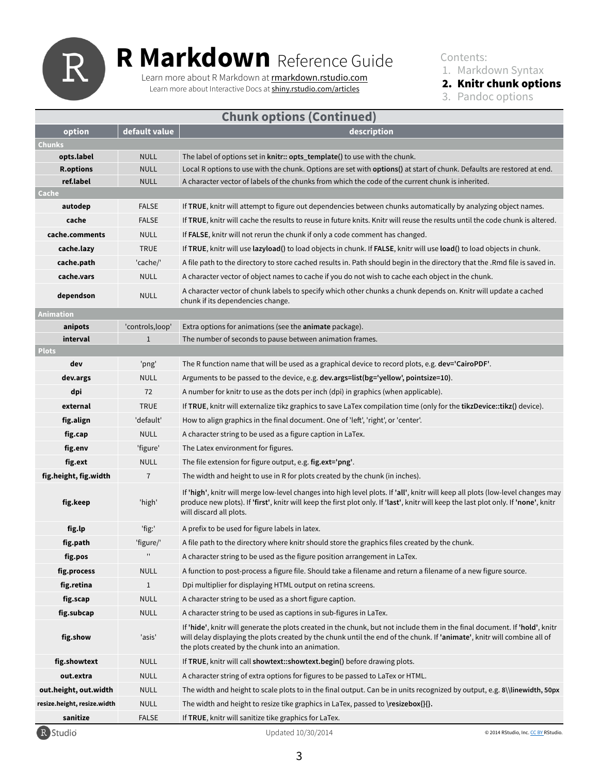|                             |                  | <b>Chunk options (Continued)</b>                                                                                                                                                                                                                                                                   |
|-----------------------------|------------------|----------------------------------------------------------------------------------------------------------------------------------------------------------------------------------------------------------------------------------------------------------------------------------------------------|
| option                      | default value    | description                                                                                                                                                                                                                                                                                        |
| <b>Chunks</b>               |                  |                                                                                                                                                                                                                                                                                                    |
| opts.label                  | <b>NULL</b>      | The label of options set in knitr:: opts_template() to use with the chunk.                                                                                                                                                                                                                         |
| <b>R.options</b>            | <b>NULL</b>      | Local R options to use with the chunk. Options are set with <b>options</b> () at start of chunk. Defaults are restored at end.                                                                                                                                                                     |
| ref.label                   | <b>NULL</b>      | A character vector of labels of the chunks from which the code of the current chunk is inherited.                                                                                                                                                                                                  |
| Cache                       |                  |                                                                                                                                                                                                                                                                                                    |
| autodep                     | <b>FALSE</b>     | If TRUE, knitr will attempt to figure out dependencies between chunks automatically by analyzing object names.                                                                                                                                                                                     |
| cache                       | <b>FALSE</b>     | If TRUE, knitr will cache the results to reuse in future knits. Knitr will reuse the results until the code chunk is altered.                                                                                                                                                                      |
| cache.comments              | <b>NULL</b>      | If FALSE, knitr will not rerun the chunk if only a code comment has changed.                                                                                                                                                                                                                       |
| cache.lazy                  | <b>TRUE</b>      | If TRUE, knitr will use lazyload() to load objects in chunk. If FALSE, knitr will use load() to load objects in chunk.                                                                                                                                                                             |
| cache.path                  | 'cache/'         | A file path to the directory to store cached results in. Path should begin in the directory that the .Rmd file is saved in.                                                                                                                                                                        |
| cache.vars                  | <b>NULL</b>      | A character vector of object names to cache if you do not wish to cache each object in the chunk.                                                                                                                                                                                                  |
| dependson                   | <b>NULL</b>      | A character vector of chunk labels to specify which other chunks a chunk depends on. Knitr will update a cached<br>chunk if its dependencies change.                                                                                                                                               |
| Animation                   |                  |                                                                                                                                                                                                                                                                                                    |
| anipots                     | 'controls, loop' | Extra options for animations (see the <b>animate</b> package).                                                                                                                                                                                                                                     |
| interval                    |                  | The number of seconds to pause between animation frames.                                                                                                                                                                                                                                           |
| <b>Plots</b>                |                  |                                                                                                                                                                                                                                                                                                    |
| dev                         | 'png'            | The R function name that will be used as a graphical device to record plots, e.g. dev='CairoPDF'.                                                                                                                                                                                                  |
| dev.args                    | <b>NULL</b>      | Arguments to be passed to the device, e.g. dev.args=list(bg='yellow', pointsize=10).                                                                                                                                                                                                               |
| dpi                         | 72               | A number for knitr to use as the dots per inch (dpi) in graphics (when applicable).                                                                                                                                                                                                                |
| external                    | <b>TRUE</b>      | If TRUE, knitr will externalize tikz graphics to save LaTex compilation time (only for the tikzDevice::tikz() device).                                                                                                                                                                             |
| fig.align                   | 'default'        | How to align graphics in the final document. One of 'left', 'right', or 'center'.                                                                                                                                                                                                                  |
| fig.cap                     | <b>NULL</b>      | A character string to be used as a figure caption in LaTex.                                                                                                                                                                                                                                        |
| fig.env                     | 'figure'         | The Latex environment for figures.                                                                                                                                                                                                                                                                 |
| fig.ext                     | <b>NULL</b>      | The file extension for figure output, e.g. fig.ext='png'.                                                                                                                                                                                                                                          |
| fig.height, fig.width       | 7 <sup>1</sup>   | The width and height to use in R for plots created by the chunk (in inches).                                                                                                                                                                                                                       |
| fig.keep                    | 'high'           | If 'high', knitr will merge low-level changes into high level plots. If 'all', knitr will keep all plots (low-level changes may<br>produce new plots). If 'first', knitr will keep the first plot only. If 'last', knitr will keep the last plot only. If 'none', knitr<br>will discard all plots. |
| fig.lp                      | 'fig:'           | A prefix to be used for figure labels in latex.                                                                                                                                                                                                                                                    |
| fig.path                    | 'figure/'        | A file path to the directory where knitr should store the graphics files created by the chunk.                                                                                                                                                                                                     |
| fig.pos                     | $\mathbf{H}$     | A character string to be used as the figure position arrangement in LaTex.                                                                                                                                                                                                                         |
| fig.process                 | <b>NULL</b>      | A function to post-process a figure file. Should take a filename and return a filename of a new figure source.                                                                                                                                                                                     |
| fig.retina                  | $\mathbf{1}$     | Dpi multiplier for displaying HTML output on retina screens.                                                                                                                                                                                                                                       |
| fig.scap                    | <b>NULL</b>      | A character string to be used as a short figure caption.                                                                                                                                                                                                                                           |
| fig.subcap                  | <b>NULL</b>      | A character string to be used as captions in sub-figures in LaTex.                                                                                                                                                                                                                                 |
| fig.show                    | 'asis'           | If 'hide', knitr will generate the plots created in the chunk, but not include them in the final document. If 'hold', knitr<br>will delay displaying the plots created by the chunk until the end of the chunk. If 'animate', knitr will combine all of                                            |
|                             |                  | the plots created by the chunk into an animation.                                                                                                                                                                                                                                                  |
| fig.showtext                | <b>NULL</b>      | If TRUE, knitr will call showtext: showtext. begin() before drawing plots.                                                                                                                                                                                                                         |
| out.extra                   | <b>NULL</b>      | A character string of extra options for figures to be passed to LaTex or HTML.                                                                                                                                                                                                                     |
| out.height, out.width       | <b>NULL</b>      | The width and height to scale plots to in the final output. Can be in units recognized by output, e.g. 8\\linewidth, 50px                                                                                                                                                                          |
| resize.height, resize.width | <b>NULL</b>      | The width and height to resize tike graphics in LaTex, passed to \resizebox{}{}.                                                                                                                                                                                                                   |
| sanitize                    | <b>FALSE</b>     | If TRUE, knitr will sanitize tike graphics for LaTex.                                                                                                                                                                                                                                              |
| R Studio                    |                  | Updated 10/30/2014<br>© 2014 RStudio, Inc. CC BY RStudio.                                                                                                                                                                                                                                          |

Contents: 1. Markdown Syntax 2. Knitr chunk options

3. Pandoc options

3

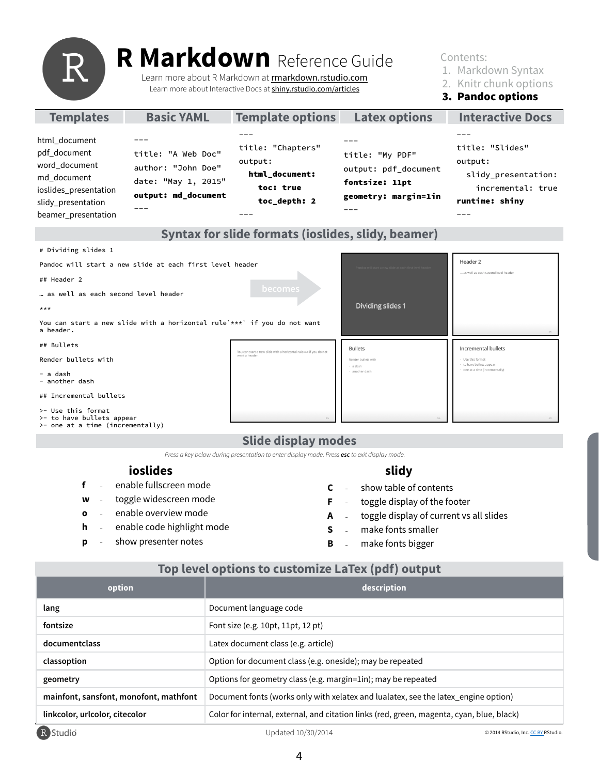## **Slide display modes**

## **Top level options to customize LaTex (pdf) output**

Contents:

1. Markdown Syntax

2. Knitr chunk options

3. Pandoc options

4

| <b>Templates</b>                                                                                                                    | <b>Basic YAML</b>                                                                      | <b>Template options</b>                                                     | <b>Latex options</b>                                                              | <b>Interactive Docs</b>                                                                  |
|-------------------------------------------------------------------------------------------------------------------------------------|----------------------------------------------------------------------------------------|-----------------------------------------------------------------------------|-----------------------------------------------------------------------------------|------------------------------------------------------------------------------------------|
| html_document<br>pdf_document<br>word_document<br>md_document<br>ioslides_presentation<br>slidy_presentation<br>beamer_presentation | title: "A Web Doc"<br>author: "John Doe"<br>date: "May 1, 2015"<br>output: md_document | title: "Chapters"<br>output:<br>html_document:<br>toc: true<br>toc_depth: 2 | title: "My PDF"<br>output: pdf_document<br>fontsize: 11pt<br>geometry: margin=1in | title: "Slides"<br>output:<br>slidy_presentation:<br>incremental: true<br>runtime: shiny |

### **Syntax for slide formats (ioslides, slidy, beamer)**

## **ioslides**

**f**  enable fullscreen mode -

- **w**  toggle widescreen mode -
- **o**  enable overview mode -
- **h**  enable code highlight mode -
- **p** show presenter notes -

*Press a key below during presentation to enter display mode. Press esc to exit display mode.*

| option                                 | description                                                                               |                                     |
|----------------------------------------|-------------------------------------------------------------------------------------------|-------------------------------------|
| lang                                   | Document language code                                                                    |                                     |
| fontsize                               | Font size (e.g. 10pt, 11pt, 12 pt)                                                        |                                     |
| documentclass                          | Latex document class (e.g. article)                                                       |                                     |
| classoption                            | Option for document class (e.g. oneside); may be repeated                                 |                                     |
| geometry                               | Options for geometry class (e.g. margin=1in); may be repeated                             |                                     |
| mainfont, sansfont, monofont, mathfont | Document fonts (works only with xelatex and lualatex, see the latex_engine option)        |                                     |
| linkcolor, urlcolor, citecolor         | Color for internal, external, and citation links (red, green, magenta, cyan, blue, black) |                                     |
| R Studio                               | Updated 10/30/2014                                                                        | © 2014 RStudio, Inc. CC BY RStudio. |

## **slidy**

- **C**  show table of contents  $\mathbf{r}$
- **F**  - toggle display of the footer
- **A**  toggle display of current vs all slides -
- **S**  make fonts smaller -
- **B** make fonts bigger -

# Dividing slides 1 Header<sub>2</sub> Pandoc will start a new slide at each first level header . as well as each second level header ## Header 2 **becomes** … as well as each second level header **Dividing slides 1** \*\*\*

| You can start a new slide with a horizontal rule *** if you do not want<br>a header. |                                                                   |                                 |                                               |
|--------------------------------------------------------------------------------------|-------------------------------------------------------------------|---------------------------------|-----------------------------------------------|
| ## Bullets                                                                           | You can start a new slide with a horizontal rule*** if you do not | <b>Bullets</b>                  | Incremental bullets                           |
| Render bullets with                                                                  | want a header.                                                    | Render bullets with<br>· a dash | · Use this format<br>· to have bullets appear |
| - a dash<br>- another dash                                                           |                                                                   | · another dash                  | - one at a time (incrementally)               |
| ## Incremental bullets                                                               |                                                                   |                                 |                                               |
| >- Use this format<br>>- to have bullets appear                                      | 4/6                                                               |                                 | 5/6                                           |

>- one at a time (incrementally)



# **R Markdown** Reference Guide

Learn more about R Markdown at **[rmarkdown.rstudio.com](http://rmarkdown.rstudio.com)** Learn more about Interactive Docs at [shiny.rstudio.com/articles](http://shiny.rstudio.com/articles)